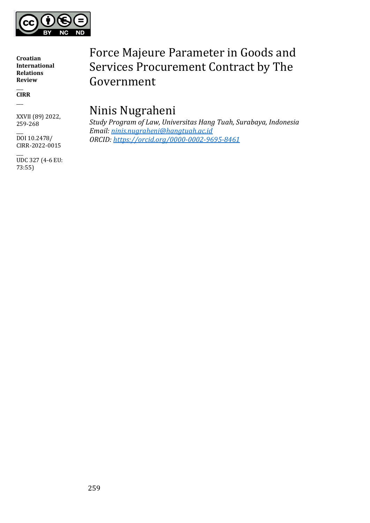

 $\overline{\phantom{a}}$ **CIRR**  $\overline{\phantom{a}}$ 

XXVII (89) 2022, 259-268

 $\overline{\phantom{a}}$ DOI 10.2478/ CIRR-2022-0015

 $\overline{\phantom{a}}$ UDC 327 (4-6 EU: 73:55)

# Force Majeure Parameter in Goods and Services Procurement Contract by The Government

## Ninis Nugraheni

*Study Program of Law, Universitas Hang Tuah, Surabaya, Indonesia Email: [ninis.nugraheni@hangtuah.ac.id](mailto:ninis.nugraheni@hangtuah.ac.id) ORCID: <https://orcid.org/0000-0002-9695-8461>*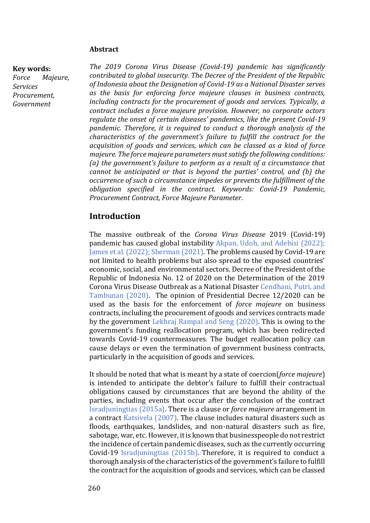#### **Key words:**

*Force Majeure, Services Procurement, Government* 

*The 2019 Corona Virus Disease (Covid-19) pandemic has significantly contributed to global insecurity. The Decree of the President of the Republic of Indonesia about the Designation of Covid-19 as a National Disaster serves as the basis for enforcing force majeure clauses in business contracts, including contracts for the procurement of goods and services. Typically, a contract includes a force majeure provision. However, no corporate actors regulate the onset of certain diseases' pandemics, like the present Covid-19 pandemic. Therefore, it is required to conduct a thorough analysis of the characteristics of the government's failure to fulfill the contract for the acquisition of goods and services, which can be classed as a kind of force majeure. The force majeure parameters must satisfy the following conditions: (a) the government's failure to perform as a result of a circumstance that cannot be anticipated or that is beyond the parties' control, and (b) the occurrence of such a circumstance impedes or prevents the fulfillment of the obligation specified in the contract. Keywords: Covid-19 Pandemic, Procurement Contract, Force Majeure Parameter.*

#### **Introduction**

The massive outbreak of the *Corona Virus Disease* 2019 (Covid-19) pandemic has caused global instability Akpan, Udoh, and Adebisi (2022); James et al. (2022); Sherman (2021). The problems caused by Covid-19 are not limited to health problems but also spread to the exposed countries' economic, social, and environmental sectors. Decree of the President of the Republic of Indonesia No. 12 of 2020 on the Determination of the 2019 Corona Virus Disease Outbreak as a National Disaster Cendhani, Putri, and Tambunan (2020). The opinion of Presidential Decree 12/2020 can be used as the basis for the enforcement of *force majeure* on business contracts, including the procurement of goods and services contracts made by the government Lekhraj Rampal and Seng (2020). This is owing to the government's funding reallocation program, which has been redirected towards Covid-19 countermeasures. The budget reallocation policy can cause delays or even the termination of government business contracts, particularly in the acquisition of goods and services.

It should be noted that what is meant by a state of coercion(*force majeure*) is intended to anticipate the debtor's failure to fulfill their contractual obligations caused by circumstances that are beyond the ability of the parties, including events that occur after the conclusion of the contract Isradjuningtias (2015a). There is a clause or *force majeure* arrangement in a contract Katsivela (2007). The clause includes natural disasters such as floods, earthquakes, landslides, and non-natural disasters such as fire, sabotage, war, etc. However, it is known that businesspeople do not restrict the incidence of certain pandemic diseases, such as the currently occurring Covid-19 Isradjuningtias (2015b). Therefore, it is required to conduct a thorough analysis of the characteristics of the government's failure to fulfill the contract for the acquisition of goods and services, which can be classed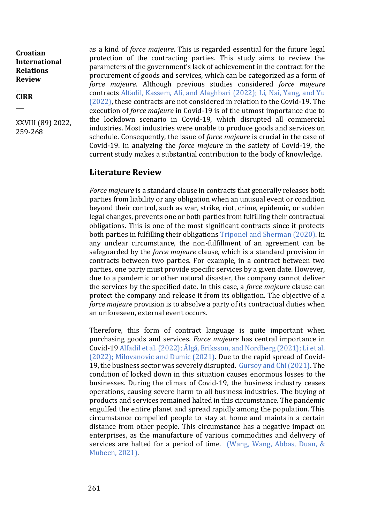$\overline{\phantom{a}}$ **CIRR**

 $\overline{\phantom{a}}$ 

XXVIII (89) 2022, 259-268

as a kind of *force majeure*. This is regarded essential for the future legal protection of the contracting parties. This study aims to review the parameters of the government's lack of achievement in the contract for the procurement of goods and services, which can be categorized as a form of *force majeure*. Although previous studies considered *force majeure* contracts Alfadil, Kassem, Ali, and Alaghbari (2022); Li, Nai, Yang, and Yu (2022), these contracts are not considered in relation to the Covid-19. The execution of *force majeure* in Covid-19 is of the utmost importance due to the lockdown scenario in Covid-19, which disrupted all commercial industries. Most industries were unable to produce goods and services on schedule. Consequently, the issue of *force majeure* is crucial in the case of Covid-19. In analyzing the *force majeure* in the satiety of Covid-19, the current study makes a substantial contribution to the body of knowledge.

#### **Literature Review**

*Force majeure* is a standard clause in contracts that generally releases both parties from liability or any obligation when an unusual event or condition beyond their control, such as war, strike, riot, crime, epidemic, or sudden legal changes, prevents one or both parties from fulfilling their contractual obligations. This is one of the most significant contracts since it protects both parties in fulfilling their obligations Triponel and Sherman (2020). In any unclear circumstance, the non-fulfillment of an agreement can be safeguarded by the *force majeure* clause, which is a standard provision in contracts between two parties. For example, in a contract between two parties, one party must provide specific services by a given date. However, due to a pandemic or other natural disaster, the company cannot deliver the services by the specified date. In this case, a *force majeure* clause can protect the company and release it from its obligation. The objective of a *force majeure* provision is to absolve a party of its contractual duties when an unforeseen, external event occurs.

Therefore, this form of contract language is quite important when purchasing goods and services. *Force majeure* has central importance in Covid-19 Alfadil et al. (2022); Älgå, Eriksson, and Nordberg (2021); Li et al. (2022); Milovanovic and Dumic (2021). Due to the rapid spread of Covid-19, the business sector was severely disrupted. Gursoy and Chi (2021). The condition of locked down in this situation causes enormous losses to the businesses. During the climax of Covid-19, the business industry ceases operations, causing severe harm to all business industries. The buying of products and services remained halted in this circumstance. The pandemic engulfed the entire planet and spread rapidly among the population. This circumstance compelled people to stay at home and maintain a certain distance from other people. This circumstance has a negative impact on enterprises, as the manufacture of various commodities and delivery of services are halted for a period of time. (Wang, Wang, Abbas, Duan, & Mubeen, 2021).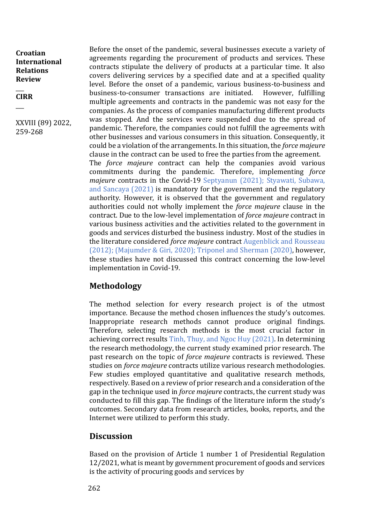$\overline{\phantom{a}}$ **CIRR**

 $\overline{\phantom{a}}$ 

XXVIII (89) 2022, 259-268

Before the onset of the pandemic, several businesses execute a variety of agreements regarding the procurement of products and services. These contracts stipulate the delivery of products at a particular time. It also covers delivering services by a specified date and at a specified quality level. Before the onset of a pandemic, various business-to-business and business-to-consumer transactions are initiated. However, fulfilling multiple agreements and contracts in the pandemic was not easy for the companies. As the process of companies manufacturing different products was stopped. And the services were suspended due to the spread of pandemic. Therefore, the companies could not fulfill the agreements with other businesses and various consumers in this situation. Consequently, it could be a violation of the arrangements. In this situation, the *force majeure* clause in the contract can be used to free the parties from the agreement. The *force majeure* contract can help the companies avoid various commitments during the pandemic. Therefore, implementing *force majeure* contracts in the Covid-19 Septyanun (2021); Styawati, Subawa, and Sancaya (2021) is mandatory for the government and the regulatory authority. However, it is observed that the government and regulatory authorities could not wholly implement the *force majeure* clause in the contract. Due to the low-level implementation of *force majeure* contract in various business activities and the activities related to the government in goods and services disturbed the business industry. Most of the studies in the literature considered *force majeure* contract Augenblick and Rousseau (2012); (Majumder & Giri, 2020); Triponel and Sherman (2020), however, these studies have not discussed this contract concerning the low-level implementation in Covid-19.

#### **Methodology**

The method selection for every research project is of the utmost importance. Because the method chosen influences the study's outcomes. Inappropriate research methods cannot produce original findings. Therefore, selecting research methods is the most crucial factor in achieving correct results Tinh, Thuy, and Ngoc Huy (2021). In determining the research methodology, the current study examined prior research. The past research on the topic of *force majeure* contracts is reviewed. These studies on *force majeure* contracts utilize various research methodologies. Few studies employed quantitative and qualitative research methods, respectively. Based on a review of prior research and a consideration of the gap in the technique used in *force majeure* contracts, the current study was conducted to fill this gap. The findings of the literature inform the study's outcomes. Secondary data from research articles, books, reports, and the Internet were utilized to perform this study.

### **Discussion**

Based on the provision of Article 1 number 1 of Presidential Regulation 12/2021, what is meant by government procurement of goods and services is the activity of procuring goods and services by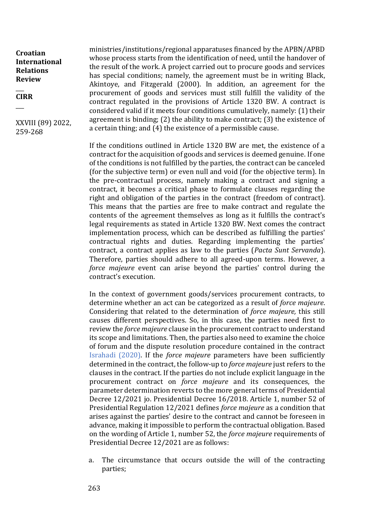$\overline{\phantom{a}}$ **CIRR**

 $\overline{\phantom{a}}$ 

XXVIII (89) 2022, 259-268

ministries/institutions/regional apparatuses financed by the APBN/APBD whose process starts from the identification of need, until the handover of the result of the work. A project carried out to procure goods and services has special conditions; namely, the agreement must be in writing Black, Akintoye, and Fitzgerald (2000). In addition, an agreement for the procurement of goods and services must still fulfill the validity of the contract regulated in the provisions of Article 1320 BW. A contract is considered valid if it meets four conditions cumulatively, namely: (1) their agreement is binding; (2) the ability to make contract; (3) the existence of a certain thing; and (4) the existence of a permissible cause.

If the conditions outlined in Article 1320 BW are met, the existence of a contract for the acquisition of goods and services is deemed genuine. If one of the conditions is not fulfilled by the parties, the contract can be canceled (for the subjective term) or even null and void (for the objective term). In the pre-contractual process, namely making a contract and signing a contract, it becomes a critical phase to formulate clauses regarding the right and obligation of the parties in the contract (freedom of contract). This means that the parties are free to make contract and regulate the contents of the agreement themselves as long as it fulfills the contract's legal requirements as stated in Article 1320 BW. Next comes the contract implementation process, which can be described as fulfilling the parties' contractual rights and duties. Regarding implementing the parties' contract, a contract applies as law to the parties (*Pacta Sunt Servanda*). Therefore, parties should adhere to all agreed-upon terms. However, a *force majeure* event can arise beyond the parties' control during the contract's execution.

In the context of government goods/services procurement contracts, to determine whether an act can be categorized as a result of *force majeure*. Considering that related to the determination of *force majeure,* this still causes different perspectives. So, in this case, the parties need first to review the *force majeure* clause in the procurement contract to understand its scope and limitations. Then, the parties also need to examine the choice of forum and the dispute resolution procedure contained in the contract Israhadi (2020). If the *force majeure* parameters have been sufficiently determined in the contract, the follow-up to *force majeure* just refers to the clauses in the contract. If the parties do not include explicit language in the procurement contract on *force majeure* and its consequences, the parameter determination reverts to the more general terms of Presidential Decree 12/2021 jo. Presidential Decree 16/2018. Article 1, number 52 of Presidential Regulation 12/2021 defines *force majeure* as a condition that arises against the parties' desire to the contract and cannot be foreseen in advance, making it impossible to perform the contractual obligation. Based on the wording of Article 1, number 52, the *force majeure* requirements of Presidential Decree 12/2021 are as follows:

a. The circumstance that occurs outside the will of the contracting parties;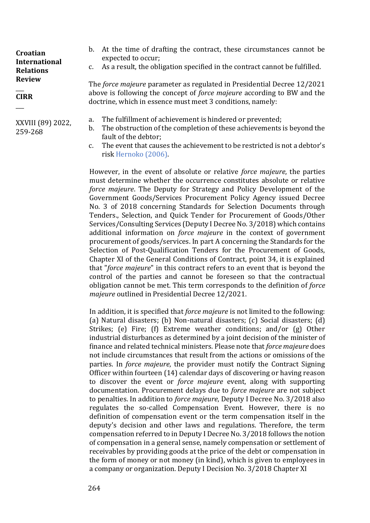#### $\overline{\phantom{a}}$ **CIRR**

 $\overline{\phantom{a}}$ 

XXVIII (89) 2022, 259-268

- b. At the time of drafting the contract, these circumstances cannot be expected to occur;
- c. As a result, the obligation specified in the contract cannot be fulfilled.

The *force majeure* parameter as regulated in Presidential Decree 12/2021 above is following the concept of *force majeure* according to BW and the doctrine, which in essence must meet 3 conditions, namely:

- a. The fulfillment of achievement is hindered or prevented;
- b. The obstruction of the completion of these achievements is beyond the fault of the debtor;
- c. The event that causes the achievement to be restricted is not a debtor's risk Hernoko (2006).

However, in the event of absolute or relative *force majeure*, the parties must determine whether the occurrence constitutes absolute or relative *force majeure*. The Deputy for Strategy and Policy Development of the Government Goods/Services Procurement Policy Agency issued Decree No. 3 of 2018 concerning Standards for Selection Documents through Tenders., Selection, and Quick Tender for Procurement of Goods/Other Services/Consulting Services (Deputy I Decree No. 3/2018) which contains additional information on *force majeure* in the context of government procurement of goods/services. In part A concerning the Standards for the Selection of Post-Qualification Tenders for the Procurement of Goods, Chapter XI of the General Conditions of Contract, point 34, it is explained that "*force majeure*" in this contract refers to an event that is beyond the control of the parties and cannot be foreseen so that the contractual obligation cannot be met. This term corresponds to the definition of *force majeure* outlined in Presidential Decree 12/2021.

In addition, it is specified that *force majeure* is not limited to the following: (a) Natural disasters; (b) Non-natural disasters; (c) Social disasters; (d) Strikes; (e) Fire; (f) Extreme weather conditions; and/or (g) Other industrial disturbances as determined by a joint decision of the minister of finance and related technical ministers. Please note that *force majeure* does not include circumstances that result from the actions or omissions of the parties. In *force majeure*, the provider must notify the Contract Signing Officer within fourteen (14) calendar days of discovering or having reason to discover the event or *force majeure* event, along with supporting documentation. Procurement delays due to *force majeure* are not subject to penalties. In addition to *force majeure*, Deputy I Decree No. 3/2018 also regulates the so-called Compensation Event. However, there is no definition of compensation event or the term compensation itself in the deputy's decision and other laws and regulations. Therefore, the term compensation referred to in Deputy I Decree No. 3/2018 follows the notion of compensation in a general sense, namely compensation or settlement of receivables by providing goods at the price of the debt or compensation in the form of money or not money (in kind), which is given to employees in a company or organization. Deputy I Decision No. 3/2018 Chapter XI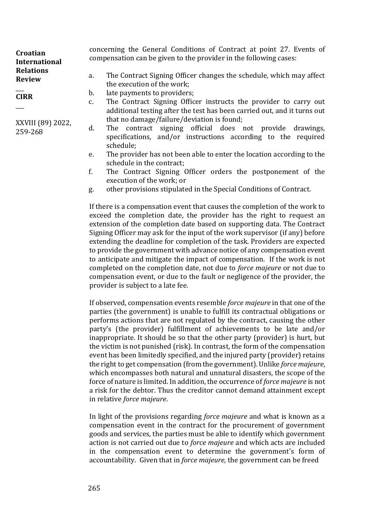| Croatian<br><b>International</b>  | concerning the General Conditions of Contract at point 27. Events of<br>compensation can be given to the provider in the following cases: |                                                                                                                                                                         |  |
|-----------------------------------|-------------------------------------------------------------------------------------------------------------------------------------------|-------------------------------------------------------------------------------------------------------------------------------------------------------------------------|--|
| <b>Relations</b><br><b>Review</b> | the execution of the work;                                                                                                                | The Contract Signing Officer changes the schedule, which may affect                                                                                                     |  |
| <b>CIRR</b>                       | late payments to providers;                                                                                                               |                                                                                                                                                                         |  |
|                                   |                                                                                                                                           | The Contract Signing Officer instructs the provider to carry out<br>additional testing after the test has been carried out, and it turns out                            |  |
| XXVIII (89) 2022,<br>259-268      | schedule;                                                                                                                                 | that no damage/failure/deviation is found;<br>The contract signing official does not provide drawings,<br>specifications, and/or instructions according to the required |  |

- e. The provider has not been able to enter the location according to the schedule in the contract;
- f. The Contract Signing Officer orders the postponement of the execution of the work; or
- g. other provisions stipulated in the Special Conditions of Contract.

If there is a compensation event that causes the completion of the work to exceed the completion date, the provider has the right to request an extension of the completion date based on supporting data. The Contract Signing Officer may ask for the input of the work supervisor (if any) before extending the deadline for completion of the task. Providers are expected to provide the government with advance notice of any compensation event to anticipate and mitigate the impact of compensation. If the work is not completed on the completion date, not due to *force majeure* or not due to compensation event, or due to the fault or negligence of the provider, the provider is subject to a late fee.

If observed, compensation events resemble *force majeure* in that one of the parties (the government) is unable to fulfill its contractual obligations or performs actions that are not regulated by the contract, causing the other party's (the provider) fulfillment of achievements to be late and/or inappropriate. It should be so that the other party (provider) is hurt, but the victim is not punished (risk). In contrast, the form of the compensation event has been limitedly specified, and the injured party (provider) retains the right to get compensation (from the government). Unlike *force majeure*, which encompasses both natural and unnatural disasters, the scope of the force of nature is limited. In addition, the occurrence of *force majeure* is not a risk for the debtor. Thus the creditor cannot demand attainment except in relative *force majeure*.

In light of the provisions regarding *force majeure* and what is known as a compensation event in the contract for the procurement of government goods and services, the parties must be able to identify which government action is not carried out due to *force majeure* and which acts are included in the compensation event to determine the government's form of accountability. Given that in *force majeure*, the government can be freed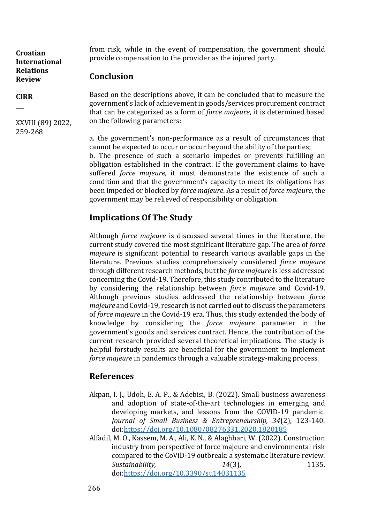#### $\overline{\phantom{a}}$ **CIRR**

 $\overline{\phantom{a}}$ 

XXVIII (89) 2022, 259-268

from risk, while in the event of compensation, the government should provide compensation to the provider as the injured party.

#### **Conclusion**

Based on the descriptions above, it can be concluded that to measure the government's lack of achievement in goods/services procurement contract that can be categorized as a form of *force majeure*, it is determined based on the following parameters:

a. the government's non-performance as a result of circumstances that cannot be expected to occur or occur beyond the ability of the parties; b. The presence of such a scenario impedes or prevents fulfilling an obligation established in the contract. If the government claims to have suffered *force majeure*, it must demonstrate the existence of such a condition and that the government's capacity to meet its obligations has been impeded or blocked by *force majeure*. As a result of *force majeure*, the government may be relieved of responsibility or obligation.

### **Implications Of The Study**

Although *force majeure* is discussed several times in the literature, the current study covered the most significant literature gap. The area of *force majeure* is significant potential to research various available gaps in the literature. Previous studies comprehensively considered *force majeure* through different research methods, but the *force majeure* is less addressed concerning the Covid-19. Therefore, this study contributed to the literature by considering the relationship between *force majeure* and Covid-19. Although previous studies addressed the relationship between *force majeure* and Covid-19, research is not carried out to discuss the parameters of *force majeure* in the Covid-19 era. Thus, this study extended the body of knowledge by considering the *force majeure* parameter in the government's goods and services contract. Hence, the contribution of the current research provided several theoretical implications. The study is helpful forstudy results are beneficial for the government to implement *force majeure* in pandemics through a valuable strategy-making process.

### **References**

- Akpan, I. J., Udoh, E. A. P., & Adebisi, B. (2022). Small business awareness and adoption of state-of-the-art technologies in emerging and developing markets, and lessons from the COVID-19 pandemic. *Journal of Small Business & Entrepreneurship, 34*(2), 123-140. doi[:https://doi.org/10.1080/08276331.2020.1820185](https://doi.org/10.1080/08276331.2020.1820185)
- Alfadil, M. O., Kassem, M. A., Ali, K. N., & Alaghbari, W. (2022). Construction industry from perspective of force majeure and environmental risk compared to the CoViD-19 outbreak: a systematic literature review. *Sustainability,* 14(3), 1135. doi[:https://doi.org/10.3390/su14031135](https://doi.org/10.3390/su14031135)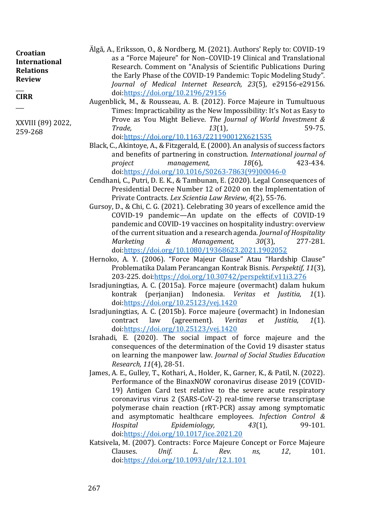| Croatian                          | Algå, A., Eriksson, O., & Nordberg, M. (2021). Authors' Reply to: COVID-19 |
|-----------------------------------|----------------------------------------------------------------------------|
| <b>International</b>              | as a "Force Majeure" for Non-COVID-19 Clinical and Translational           |
| <b>Relations</b><br><b>Review</b> | Research. Comment on "Analysis of Scientific Publications During           |
|                                   | the Early Phase of the COVID-19 Pandemic: Topic Modeling Study".           |
|                                   | Journal of Medical Internet Research, 23(5), e29156-e29156.                |
| <b>CIRR</b>                       | doi:https://doi.org/10.2196/29156                                          |
|                                   | Augenblick, M., & Rousseau, A. B. (2012). Force Majeure in Tumultuous      |
|                                   | Times, Impressive bility as the New Impessibility, It's Net as Fourte      |

Times: Impracticability as the New Impossibility: It's Not as Easy to Prove as You Might Believe. *The Journal of World Investment & Trade, 13*(1), 59-75. doi[:https://doi.org/10.1163/221190012X621535](https://doi.org/10.1163/221190012X621535)

- Black, C., Akintoye, A., & Fitzgerald, E. (2000). An analysis of success factors and benefits of partnering in construction. *International journal of project management, 18*(6), 423-434. doi[:https://doi.org/10.1016/S0263-7863\(99\)00046-0](https://doi.org/10.1016/S0263-7863(99)00046-0)
- Cendhani, C., Putri, D. E. K., & Tambunan, E. (2020). Legal Consequences of Presidential Decree Number 12 of 2020 on the Implementation of Private Contracts. *Lex Scientia Law Review, 4*(2), 55-76.
- Gursoy, D., & Chi, C. G. (2021). Celebrating 30 years of excellence amid the COVID-19 pandemic—An update on the effects of COVID-19 pandemic and COVID-19 vaccines on hospitality industry: overview of the current situation and a research agenda. *Journal of Hospitality Marketing & Management, 30*(3), 277-281. doi[:https://doi.org/10.1080/19368623.2021.1902052](https://doi.org/10.1080/19368623.2021.1902052)
- Hernoko, A. Y. (2006). "Force Majeur Clause" Atau "Hardship Clause" Problematika Dalam Perancangan Kontrak Bisnis. *Perspektif, 11*(3), 203-225. doi[:https://doi.org/10.30742/perspektif.v11i3.276](https://doi.org/10.30742/perspektif.v11i3.276)
- Isradjuningtias, A. C. (2015a). Force majeure (overmacht) dalam hukum kontrak (perjanjian) Indonesia. *Veritas et Justitia, 1*(1). doi[:https://doi.org/10.25123/vej.1420](https://doi.org/10.25123/vej.1420)
- Isradjuningtias, A. C. (2015b). Force majeure (overmacht) in Indonesian contract law (agreement). *Veritas et Justitia, 1*(1). doi[:https://doi.org/10.25123/vej.1420](https://doi.org/10.25123/vej.1420)
- Israhadi, E. (2020). The social impact of force majeure and the consequences of the determination of the Covid 19 disaster status on learning the manpower law. *Journal of Social Studies Education Research, 11*(4), 28-51.
- James, A. E., Gulley, T., Kothari, A., Holder, K., Garner, K., & Patil, N. (2022). Performance of the BinaxNOW coronavirus disease 2019 (COVID-19) Antigen Card test relative to the severe acute respiratory coronavirus virus 2 (SARS-CoV-2) real-time reverse transcriptase polymerase chain reaction (rRT-PCR) assay among symptomatic and asymptomatic healthcare employees. *Infection Control & Hospital Epidemiology, 43*(1), 99-101. doi[:https://doi.org/10.1017/ice.2021.20](https://doi.org/10.1017/ice.2021.20)
- Katsivela, M. (2007). Contracts: Force Majeure Concept or Force Majeure Clauses. *Unif. L. Rev. ns, 12*, 101. doi[:https://doi.org/10.1093/ulr/12.1.101](https://doi.org/10.1093/ulr/12.1.101)

XXVIII (89) 2022,

259-268